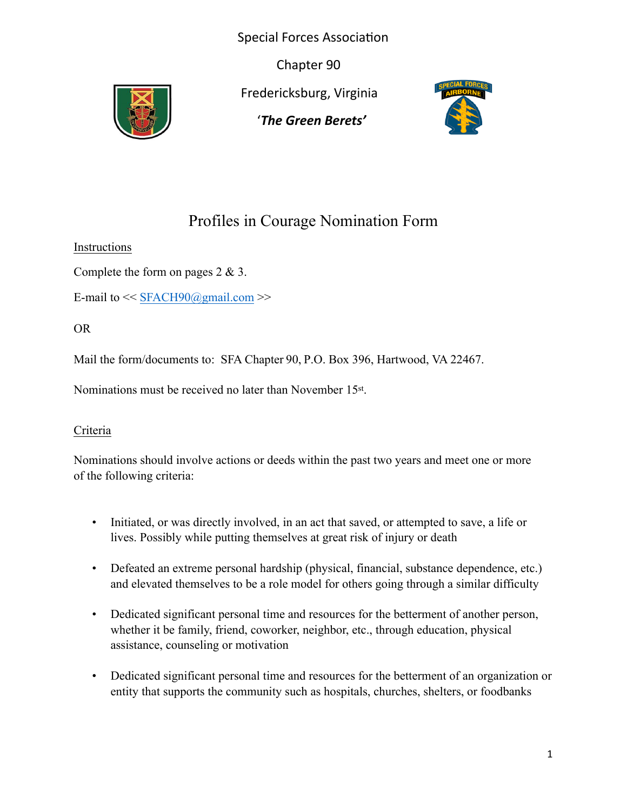Special Forces Association

Chapter 90



Fredericksburg, Virginia

'*The Green Berets'*



## Profiles in Courage Nomination Form

Instructions

Complete the form on pages 2 & 3.

E-mail to  $<<$  SFACH90@gmail.com  $>>$ 

OR

Mail the form/documents to: SFA Chapter 90, P.O. Box 396, Hartwood, VA 22467.

Nominations must be received no later than November 15st .

## Criteria

Nominations should involve actions or deeds within the past two years and meet one or more of the following criteria:

- Initiated, or was directly involved, in an act that saved, or attempted to save, a life or lives. Possibly while putting themselves at great risk of injury or death
- Defeated an extreme personal hardship (physical, financial, substance dependence, etc.) and elevated themselves to be a role model for others going through a similar difficulty
- Dedicated significant personal time and resources for the betterment of another person, whether it be family, friend, coworker, neighbor, etc., through education, physical assistance, counseling or motivation
- Dedicated significant personal time and resources for the betterment of an organization or entity that supports the community such as hospitals, churches, shelters, or foodbanks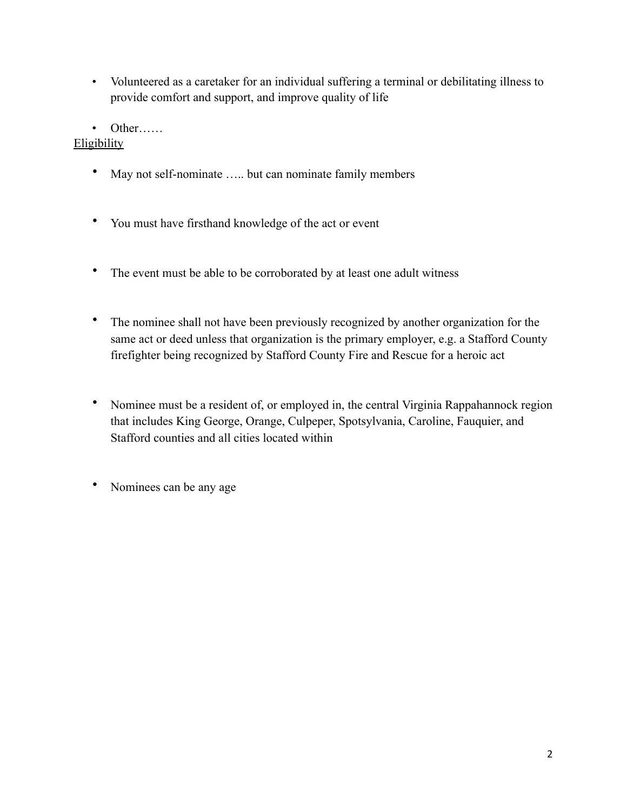- Volunteered as a caretaker for an individual suffering a terminal or debilitating illness to provide comfort and support, and improve quality of life
- Other……

**Eligibility** 

- May not self-nominate ..... but can nominate family members
- You must have firsthand knowledge of the act or event
- The event must be able to be corroborated by at least one adult witness
- The nominee shall not have been previously recognized by another organization for the same act or deed unless that organization is the primary employer, e.g. a Stafford County firefighter being recognized by Stafford County Fire and Rescue for a heroic act
- Nominee must be a resident of, or employed in, the central Virginia Rappahannock region that includes King George, Orange, Culpeper, Spotsylvania, Caroline, Fauquier, and Stafford counties and all cities located within
- Nominees can be any age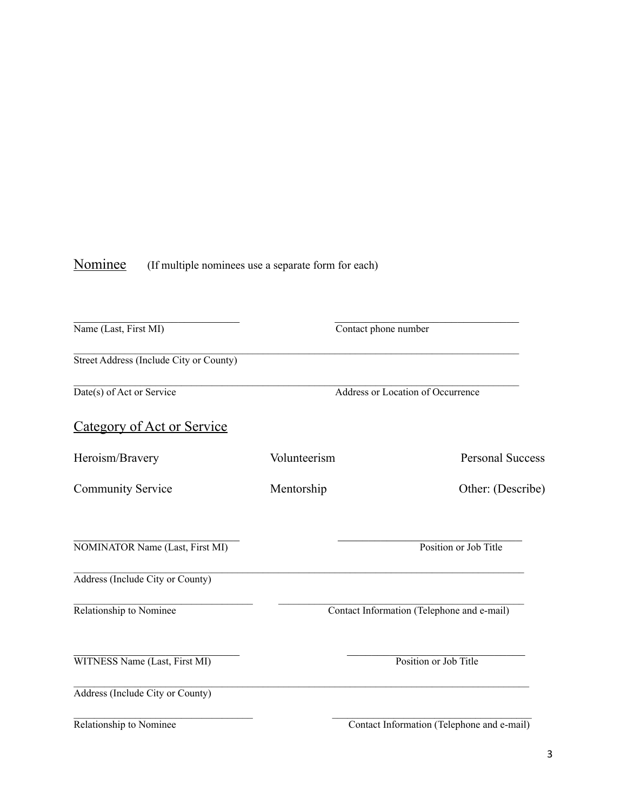## Nominee (If multiple nominees use a separate form for each)

| Name (Last, First MI)                   | Contact phone number              |                                            |
|-----------------------------------------|-----------------------------------|--------------------------------------------|
| Street Address (Include City or County) |                                   |                                            |
| Date(s) of Act or Service               | Address or Location of Occurrence |                                            |
| <b>Category of Act or Service</b>       |                                   |                                            |
| Heroism/Bravery                         | Volunteerism                      | <b>Personal Success</b>                    |
| <b>Community Service</b>                | Mentorship                        | Other: (Describe)                          |
| <b>NOMINATOR Name (Last, First MI)</b>  |                                   | Position or Job Title                      |
| Address (Include City or County)        |                                   |                                            |
| Relationship to Nominee                 |                                   | Contact Information (Telephone and e-mail) |
| WITNESS Name (Last, First MI)           |                                   | Position or Job Title                      |
| Address (Include City or County)        |                                   |                                            |
| Relationship to Nominee                 |                                   | Contact Information (Telephone and e-mail) |

3